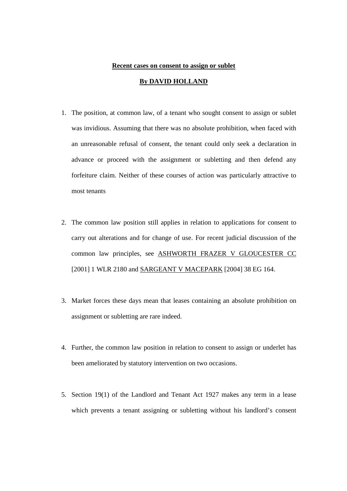#### **Recent cases on consent to assign or sublet**

## **By DAVID HOLLAND**

- 1. The position, at common law, of a tenant who sought consent to assign or sublet was invidious. Assuming that there was no absolute prohibition, when faced with an unreasonable refusal of consent, the tenant could only seek a declaration in advance or proceed with the assignment or subletting and then defend any forfeiture claim. Neither of these courses of action was particularly attractive to most tenants
- 2. The common law position still applies in relation to applications for consent to carry out alterations and for change of use. For recent judicial discussion of the common law principles, see ASHWORTH FRAZER V GLOUCESTER CC [2001] 1 WLR 2180 and SARGEANT V MACEPARK [2004] 38 EG 164.
- 3. Market forces these days mean that leases containing an absolute prohibition on assignment or subletting are rare indeed.
- 4. Further, the common law position in relation to consent to assign or underlet has been ameliorated by statutory intervention on two occasions.
- 5. Section 19(1) of the Landlord and Tenant Act 1927 makes any term in a lease which prevents a tenant assigning or subletting without his landlord's consent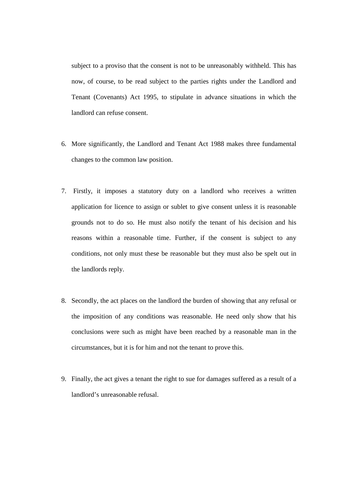subject to a proviso that the consent is not to be unreasonably withheld. This has now, of course, to be read subject to the parties rights under the Landlord and Tenant (Covenants) Act 1995, to stipulate in advance situations in which the landlord can refuse consent.

- 6. More significantly, the Landlord and Tenant Act 1988 makes three fundamental changes to the common law position.
- 7. Firstly, it imposes a statutory duty on a landlord who receives a written application for licence to assign or sublet to give consent unless it is reasonable grounds not to do so. He must also notify the tenant of his decision and his reasons within a reasonable time. Further, if the consent is subject to any conditions, not only must these be reasonable but they must also be spelt out in the landlords reply.
- 8. Secondly, the act places on the landlord the burden of showing that any refusal or the imposition of any conditions was reasonable. He need only show that his conclusions were such as might have been reached by a reasonable man in the circumstances, but it is for him and not the tenant to prove this.
- 9. Finally, the act gives a tenant the right to sue for damages suffered as a result of a landlord's unreasonable refusal.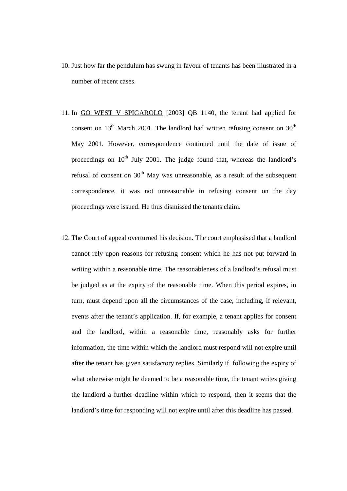- 10. Just how far the pendulum has swung in favour of tenants has been illustrated in a number of recent cases.
- 11. In GO WEST V SPIGAROLO [2003] QB 1140, the tenant had applied for consent on  $13<sup>th</sup>$  March 2001. The landlord had written refusing consent on  $30<sup>th</sup>$ May 2001. However, correspondence continued until the date of issue of proceedings on  $10<sup>th</sup>$  July 2001. The judge found that, whereas the landlord's refusal of consent on  $30<sup>th</sup>$  May was unreasonable, as a result of the subsequent correspondence, it was not unreasonable in refusing consent on the day proceedings were issued. He thus dismissed the tenants claim.
- 12. The Court of appeal overturned his decision. The court emphasised that a landlord cannot rely upon reasons for refusing consent which he has not put forward in writing within a reasonable time. The reasonableness of a landlord's refusal must be judged as at the expiry of the reasonable time. When this period expires, in turn, must depend upon all the circumstances of the case, including, if relevant, events after the tenant's application. If, for example, a tenant applies for consent and the landlord, within a reasonable time, reasonably asks for further information, the time within which the landlord must respond will not expire until after the tenant has given satisfactory replies. Similarly if, following the expiry of what otherwise might be deemed to be a reasonable time, the tenant writes giving the landlord a further deadline within which to respond, then it seems that the landlord's time for responding will not expire until after this deadline has passed.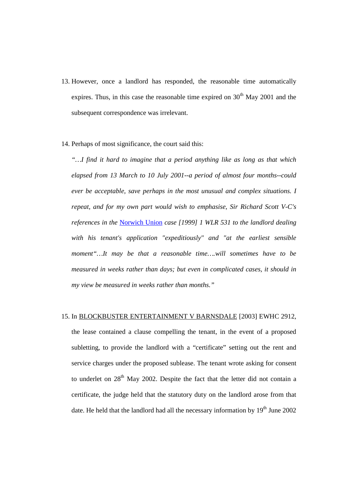- 13. However, once a landlord has responded, the reasonable time automatically expires. Thus, in this case the reasonable time expired on  $30<sup>th</sup>$  May 2001 and the subsequent correspondence was irrelevant.
- 14. Perhaps of most significance, the court said this:

*"…I find it hard to imagine that a period anything like as long as that which elapsed from 13 March to 10 July 2001--a period of almost four months--could ever be acceptable, save perhaps in the most unusual and complex situations. I repeat, and for my own part would wish to emphasise, Sir Richard Scott V-C's references in the* Norwich Union *case [1999] 1 WLR 531 to the landlord dealing with his tenant's application "expeditiously" and "at the earliest sensible moment"…It may be that a reasonable time….will sometimes have to be measured in weeks rather than days; but even in complicated cases, it should in my view be measured in weeks rather than months."*

## 15. In BLOCKBUSTER ENTERTAINMENT V BARNSDALE [2003] EWHC 2912,

the lease contained a clause compelling the tenant, in the event of a proposed subletting, to provide the landlord with a "certificate" setting out the rent and service charges under the proposed sublease. The tenant wrote asking for consent to underlet on  $28<sup>th</sup>$  May 2002. Despite the fact that the letter did not contain a certificate, the judge held that the statutory duty on the landlord arose from that date. He held that the landlord had all the necessary information by  $19<sup>th</sup>$  June 2002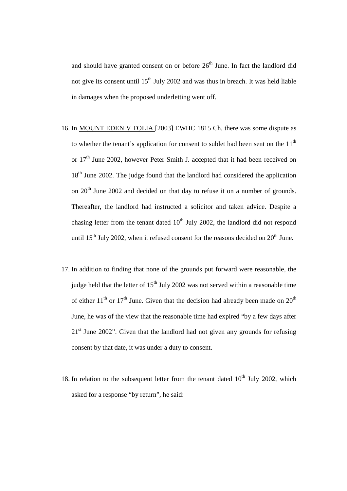and should have granted consent on or before  $26<sup>th</sup>$  June. In fact the landlord did not give its consent until  $15<sup>th</sup>$  July 2002 and was thus in breach. It was held liable in damages when the proposed underletting went off.

- 16. In MOUNT EDEN V FOLIA [2003] EWHC 1815 Ch, there was some dispute as to whether the tenant's application for consent to sublet had been sent on the  $11<sup>th</sup>$ or  $17<sup>th</sup>$  June 2002, however Peter Smith J. accepted that it had been received on 18<sup>th</sup> June 2002. The judge found that the landlord had considered the application on  $20<sup>th</sup>$  June 2002 and decided on that day to refuse it on a number of grounds. Thereafter, the landlord had instructed a solicitor and taken advice. Despite a chasing letter from the tenant dated  $10<sup>th</sup>$  July 2002, the landlord did not respond until  $15^{th}$  July 2002, when it refused consent for the reasons decided on  $20^{th}$  June.
- 17. In addition to finding that none of the grounds put forward were reasonable, the judge held that the letter of  $15<sup>th</sup>$  July 2002 was not served within a reasonable time of either  $11<sup>th</sup>$  or  $17<sup>th</sup>$  June. Given that the decision had already been made on  $20<sup>th</sup>$ June, he was of the view that the reasonable time had expired "by a few days after  $21<sup>st</sup>$  June 2002". Given that the landlord had not given any grounds for refusing consent by that date, it was under a duty to consent.
- 18. In relation to the subsequent letter from the tenant dated  $10<sup>th</sup>$  July 2002, which asked for a response "by return", he said: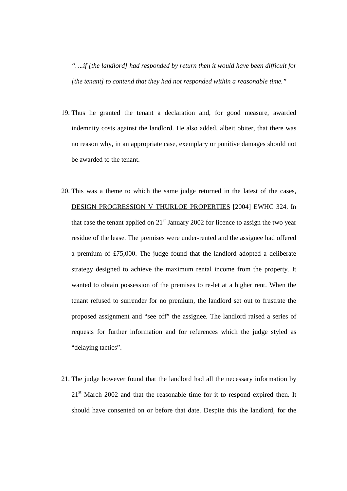*"….if [the landlord] had responded by return then it would have been difficult for [the tenant] to contend that they had not responded within a reasonable time."* 

- 19. Thus he granted the tenant a declaration and, for good measure, awarded indemnity costs against the landlord. He also added, albeit obiter, that there was no reason why, in an appropriate case, exemplary or punitive damages should not be awarded to the tenant.
- 20. This was a theme to which the same judge returned in the latest of the cases, DESIGN PROGRESSION V THURLOE PROPERTIES [2004] EWHC 324. In that case the tenant applied on  $21<sup>st</sup>$  January 2002 for licence to assign the two year residue of the lease. The premises were under-rented and the assignee had offered a premium of £75,000. The judge found that the landlord adopted a deliberate strategy designed to achieve the maximum rental income from the property. It wanted to obtain possession of the premises to re-let at a higher rent. When the tenant refused to surrender for no premium, the landlord set out to frustrate the proposed assignment and "see off" the assignee. The landlord raised a series of requests for further information and for references which the judge styled as "delaying tactics".
- 21. The judge however found that the landlord had all the necessary information by  $21<sup>st</sup>$  March 2002 and that the reasonable time for it to respond expired then. It should have consented on or before that date. Despite this the landlord, for the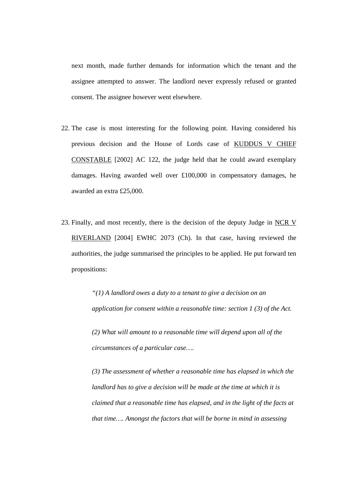next month, made further demands for information which the tenant and the assignee attempted to answer. The landlord never expressly refused or granted consent. The assignee however went elsewhere.

- 22. The case is most interesting for the following point. Having considered his previous decision and the House of Lords case of KUDDUS V CHIEF CONSTABLE [2002] AC 122, the judge held that he could award exemplary damages. Having awarded well over £100,000 in compensatory damages, he awarded an extra £25,000.
- 23. Finally, and most recently, there is the decision of the deputy Judge in NCR V RIVERLAND [2004] EWHC 2073 (Ch). In that case, having reviewed the authorities, the judge summarised the principles to be applied. He put forward ten propositions:

*"(1) A landlord owes a duty to a tenant to give a decision on an application for consent within a reasonable time: section 1 (3) of the Act.* 

*(2) What will amount to a reasonable time will depend upon all of the circumstances of a particular case….* 

*(3) The assessment of whether a reasonable time has elapsed in which the landlord has to give a decision will be made at the time at which it is claimed that a reasonable time has elapsed, and in the light of the facts at that time…. Amongst the factors that will be borne in mind in assessing*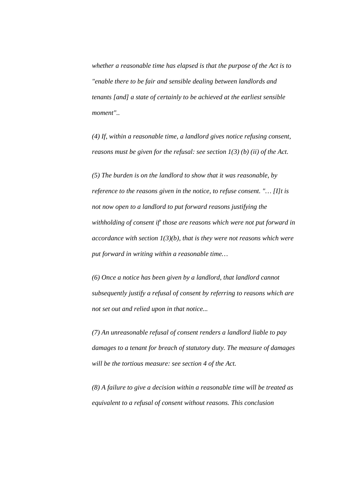*whether a reasonable time has elapsed is that the purpose of the Act is to "enable there to be fair and sensible dealing between landlords and tenants [and] a state of certainly to be achieved at the earliest sensible moment"..* 

*(4) If, within a reasonable time, a landlord gives notice refusing consent, reasons must be given for the refusal: see section 1(3) (b) (ii) of the Act.* 

*(5) The burden is on the landlord to show that it was reasonable, by reference to the reasons given in the notice, to refuse consent. "… [I]t is not now open to a landlord to put forward reasons justifying the withholding of consent if' those are reasons which were not put forward in accordance with section 1(3)(b), that is they were not reasons which were put forward in writing within a reasonable time…* 

*(6) Once a notice has been given by a landlord, that landlord cannot subsequently justify a refusal of consent by referring to reasons which are not set out and relied upon in that notice...* 

*(7) An unreasonable refusal of consent renders a landlord liable to pay damages to a tenant for breach of statutory duty. The measure of damages will be the tortious measure: see section 4 of the Act.* 

*(8) A failure to give a decision within a reasonable time will be treated as equivalent to a refusal of consent without reasons. This conclusion*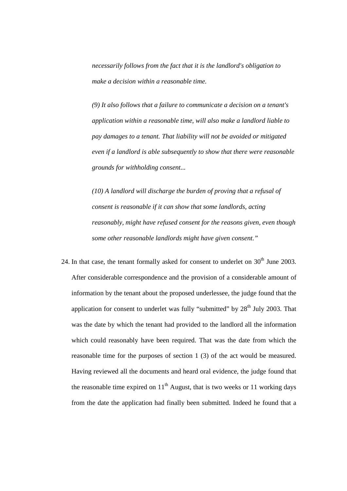*necessarily follows from the fact that it is the landlord's obligation to make a decision within a reasonable time.* 

*(9) It also follows that a failure to communicate a decision on a tenant's application within a reasonable time, will also make a landlord liable to pay damages to a tenant. That liability will not be avoided or mitigated even if a landlord is able subsequently to show that there were reasonable grounds for withholding consent...* 

*(10) A landlord will discharge the burden of proving that a refusal of consent is reasonable if it can show that some landlords, acting reasonably, might have refused consent for the reasons given, even though some other reasonable landlords might have given consent."* 

24. In that case, the tenant formally asked for consent to underlet on  $30<sup>th</sup>$  June 2003. After considerable correspondence and the provision of a considerable amount of information by the tenant about the proposed underlessee, the judge found that the application for consent to underlet was fully "submitted" by  $28<sup>th</sup>$  July 2003. That was the date by which the tenant had provided to the landlord all the information which could reasonably have been required. That was the date from which the reasonable time for the purposes of section 1 (3) of the act would be measured. Having reviewed all the documents and heard oral evidence, the judge found that the reasonable time expired on  $11<sup>th</sup>$  August, that is two weeks or 11 working days from the date the application had finally been submitted. Indeed he found that a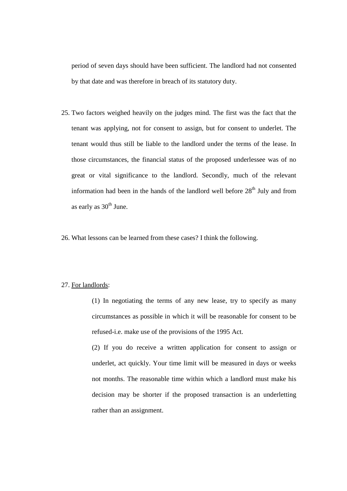period of seven days should have been sufficient. The landlord had not consented by that date and was therefore in breach of its statutory duty.

- 25. Two factors weighed heavily on the judges mind. The first was the fact that the tenant was applying, not for consent to assign, but for consent to underlet. The tenant would thus still be liable to the landlord under the terms of the lease. In those circumstances, the financial status of the proposed underlessee was of no great or vital significance to the landlord. Secondly, much of the relevant information had been in the hands of the landlord well before  $28<sup>th</sup>$  July and from as early as  $30<sup>th</sup>$  June.
- 26. What lessons can be learned from these cases? I think the following.

#### 27. For landlords:

(1) In negotiating the terms of any new lease, try to specify as many circumstances as possible in which it will be reasonable for consent to be refused-i.e. make use of the provisions of the 1995 Act.

(2) If you do receive a written application for consent to assign or underlet, act quickly. Your time limit will be measured in days or weeks not months. The reasonable time within which a landlord must make his decision may be shorter if the proposed transaction is an underletting rather than an assignment.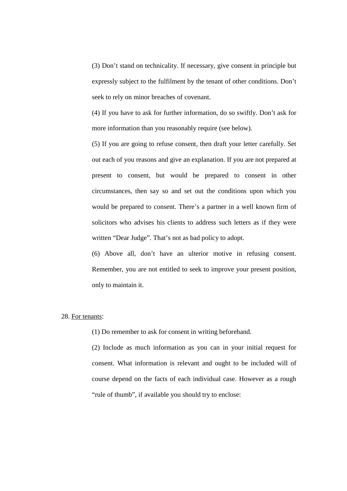(3) Don't stand on technicality. If necessary, give consent in principle but expressly subject to the fulfilment by the tenant of other conditions. Don't seek to rely on minor breaches of covenant.

(4) If you have to ask for further information, do so swiftly. Don't ask for more information than you reasonably require (see below).

(5) If you are going to refuse consent, then draft your letter carefully. Set out each of you reasons and give an explanation. If you are not prepared at present to consent, but would be prepared to consent in other circumstances, then say so and set out the conditions upon which you would be prepared to consent. There's a partner in a well known firm of solicitors who advises his clients to address such letters as if they were written "Dear Judge". That's not as bad policy to adopt.

(6) Above all, don't have an ulterior motive in refusing consent. Remember, you are not entitled to seek to improve your present position, only to maintain it.

## 28. For tenants:

(1) Do remember to ask for consent in writing beforehand.

(2) Include as much information as you can in your initial request for consent. What information is relevant and ought to be included will of course depend on the facts of each individual case. However as a rough "rule of thumb", if available you should try to enclose: